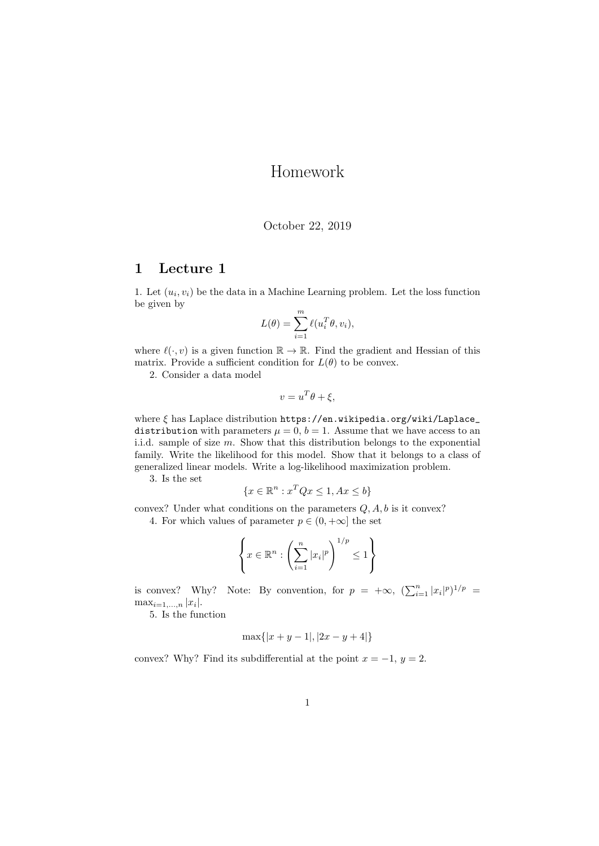## Homework

## October 22, 2019

## 1 Lecture 1

1. Let  $(u_i, v_i)$  be the data in a Machine Learning problem. Let the loss function be given by

$$
L(\theta) = \sum_{i=1}^{m} \ell(u_i^T \theta, v_i),
$$

where  $\ell(\cdot, v)$  is a given function  $\mathbb{R} \to \mathbb{R}$ . Find the gradient and Hessian of this matrix. Provide a sufficient condition for  $L(\theta)$  to be convex.

2. Consider a data model

$$
v = u^T \theta + \xi,
$$

where ξ has Laplace distribution https://en.wikipedia.org/wiki/Laplace\_ distribution with parameters  $\mu = 0, b = 1$ . Assume that we have access to an i.i.d. sample of size m. Show that this distribution belongs to the exponential family. Write the likelihood for this model. Show that it belongs to a class of generalized linear models. Write a log-likelihood maximization problem.

3. Is the set

$$
\{x \in \mathbb{R}^n : x^T Q x \le 1, Ax \le b\}
$$

convex? Under what conditions on the parameters  $Q, A, b$  is it convex?

4. For which values of parameter  $p \in (0, +\infty]$  the set

$$
\left\{ x \in \mathbb{R}^n : \left( \sum_{i=1}^n |x_i|^p \right)^{1/p} \le 1 \right\}
$$

is convex? Why? Note: By convention, for  $p = +\infty$ ,  $(\sum_{i=1}^{n} |x_i|^p)^{1/p} =$  $\max_{i=1,...,n} |x_i|$ .

5. Is the function

$$
\max\{|x+y-1|, |2x-y+4|\}
$$

convex? Why? Find its subdifferential at the point  $x = -1$ ,  $y = 2$ .